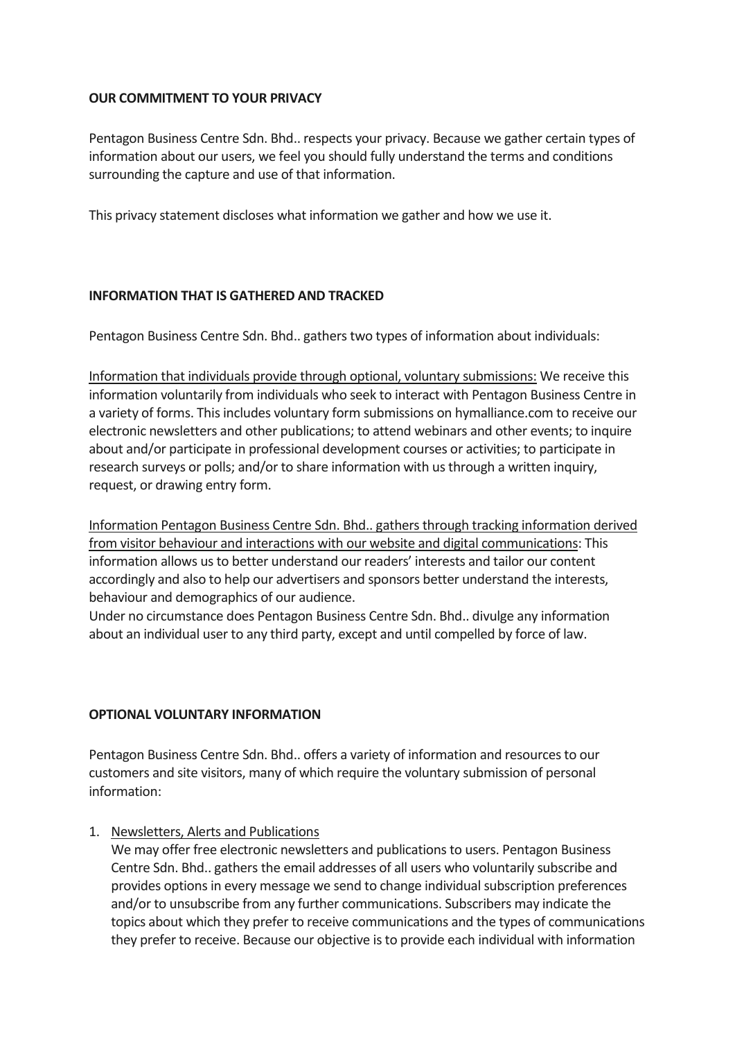## **OUR COMMITMENT TO YOUR PRIVACY**

Pentagon Business Centre Sdn. Bhd.. respects your privacy. Because we gather certain types of information about our users, we feel you should fully understand the terms and conditions surrounding the capture and use of that information.

This privacy statement discloses what information we gather and how we use it.

## **INFORMATION THAT IS GATHERED AND TRACKED**

Pentagon Business Centre Sdn. Bhd.. gathers two types of information about individuals:

Information that individuals provide through optional, voluntary submissions: We receive this information voluntarily from individuals who seek to interact with Pentagon Business Centre in a variety of forms. This includes voluntary form submissions on hymalliance.com to receive our electronic newsletters and other publications; to attend webinars and other events; to inquire about and/or participate in professional development courses or activities; to participate in research surveys or polls; and/or to share information with us through a written inquiry, request, or drawing entry form.

Information Pentagon Business Centre Sdn. Bhd.. gathers through tracking information derived from visitor behaviour and interactions with our website and digital communications: This information allows us to better understand our readers' interests and tailor our content accordingly and also to help our advertisers and sponsors better understand the interests, behaviour and demographics of our audience.

Under no circumstance does Pentagon Business Centre Sdn. Bhd.. divulge any information about an individual user to any third party, except and until compelled by force of law.

### **OPTIONAL VOLUNTARY INFORMATION**

Pentagon Business Centre Sdn. Bhd.. offers a variety of information and resources to our customers and site visitors, many of which require the voluntary submission of personal information:

### 1. Newsletters, Alerts and Publications

We may offer free electronic newsletters and publications to users. Pentagon Business Centre Sdn. Bhd.. gathers the email addresses of all users who voluntarily subscribe and provides options in every message we send to change individual subscription preferences and/or to unsubscribe from any further communications. Subscribers may indicate the topics about which they prefer to receive communications and the types of communications they prefer to receive. Because our objective is to provide each individual with information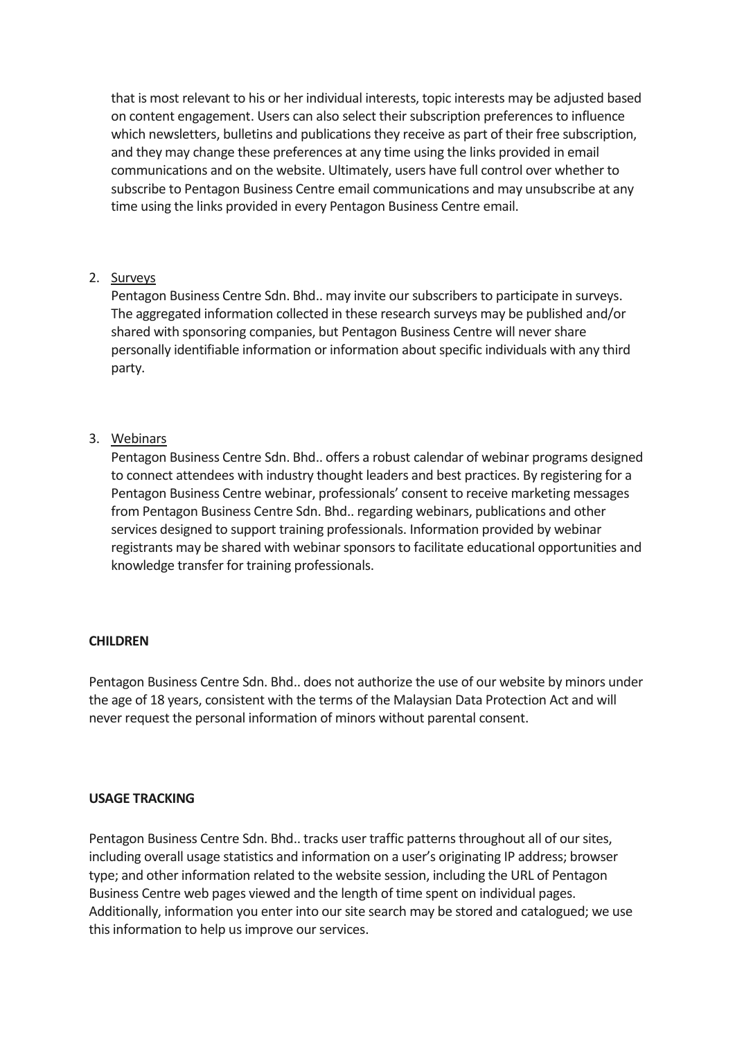that is most relevant to his or her individual interests, topic interests may be adjusted based on content engagement. Users can also select their subscription preferences to influence which newsletters, bulletins and publications they receive as part of their free subscription, and they may change these preferences at any time using the links provided in email communications and on the website. Ultimately, users have full control over whether to subscribe to Pentagon Business Centre email communications and may unsubscribe at any time using the links provided in every Pentagon Business Centre email.

## 2. Surveys

Pentagon Business Centre Sdn. Bhd.. may invite our subscribers to participate in surveys. The aggregated information collected in these research surveys may be published and/or shared with sponsoring companies, but Pentagon Business Centre will never share personally identifiable information or information about specific individuals with any third party.

## 3. Webinars

Pentagon Business Centre Sdn. Bhd.. offers a robust calendar of webinar programs designed to connect attendees with industry thought leaders and best practices. By registering for a Pentagon Business Centre webinar, professionals' consent to receive marketing messages from Pentagon Business Centre Sdn. Bhd.. regarding webinars, publications and other services designed to support training professionals. Information provided by webinar registrants may be shared with webinar sponsors to facilitate educational opportunities and knowledge transfer for training professionals.

### **CHILDREN**

Pentagon Business Centre Sdn. Bhd.. does not authorize the use of our website by minors under the age of 18 years, consistent with the terms of the Malaysian Data Protection Act and will never request the personal information of minors without parental consent.

### **USAGE TRACKING**

Pentagon Business Centre Sdn. Bhd.. tracks user traffic patterns throughout all of our sites, including overall usage statistics and information on a user's originating IP address; browser type; and other information related to the website session, including the URL of Pentagon Business Centre web pages viewed and the length of time spent on individual pages. Additionally, information you enter into our site search may be stored and catalogued; we use this information to help us improve our services.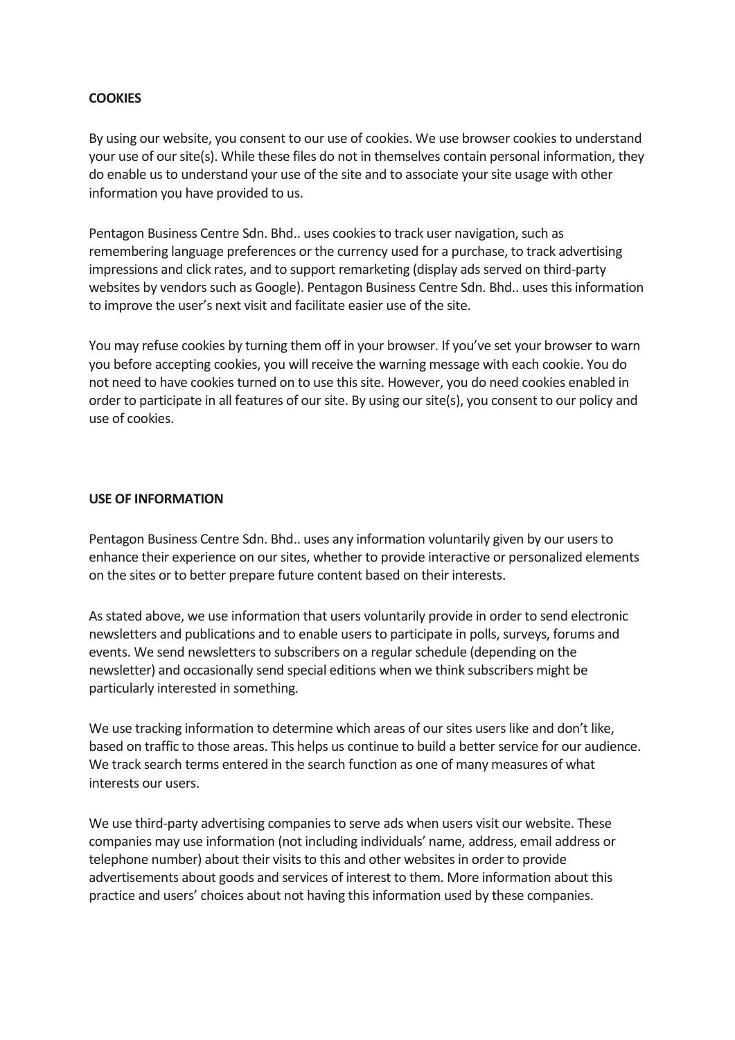## **COOKIES**

By using our website, you consent to our use of cookies. We use browser cookies to understand your use of our site(s). While these files do not in themselves contain personal information, they do enable us to understand your use of the site and to associate your site usage with other information you have provided to us.

Pentagon Business Centre Sdn. Bhd.. uses cookies to track user navigation, such as remembering language preferences or the currency used for a purchase, to track advertising impressions and click rates, and to support remarketing (display ads served on third-party websites by vendors such as Google). Pentagon Business Centre Sdn. Bhd.. uses this information to improve the user's next visit and facilitate easier use of the site.

You may refuse cookies by turning them off in your browser. If you've set your browser to warn you before accepting cookies, you will receive the warning message with each cookie. You do not need to have cookies turned on to use this site. However, you do need cookies enabled in order to participate in all features of our site. By using our site(s), you consent to our policy and use of cookies.

### **USE OF INFORMATION**

Pentagon Business Centre Sdn. Bhd.. uses any information voluntarily given by our users to enhance their experience on our sites, whether to provide interactive or personalized elements on the sites or to better prepare future content based on their interests.

As stated above, we use information that users voluntarily provide in order to send electronic newsletters and publications and to enable users to participate in polls, surveys, forums and events. We send newsletters to subscribers on a regular schedule (depending on the newsletter) and occasionally send special editions when we think subscribers might be particularly interested in something.

We use tracking information to determine which areas of our sites users like and don't like, based on traffic to those areas. This helps us continue to build a better service for our audience. We track search terms entered in the search function as one of many measures of what interests our users.

We use third-party advertising companies to serve ads when users visit our website. These companies may use information (not including individuals' name, address, email address or telephone number) about their visits to this and other websites in order to provide advertisements about goods and services of interest to them. More information about this practice and users' choices about not having this information used by these companies.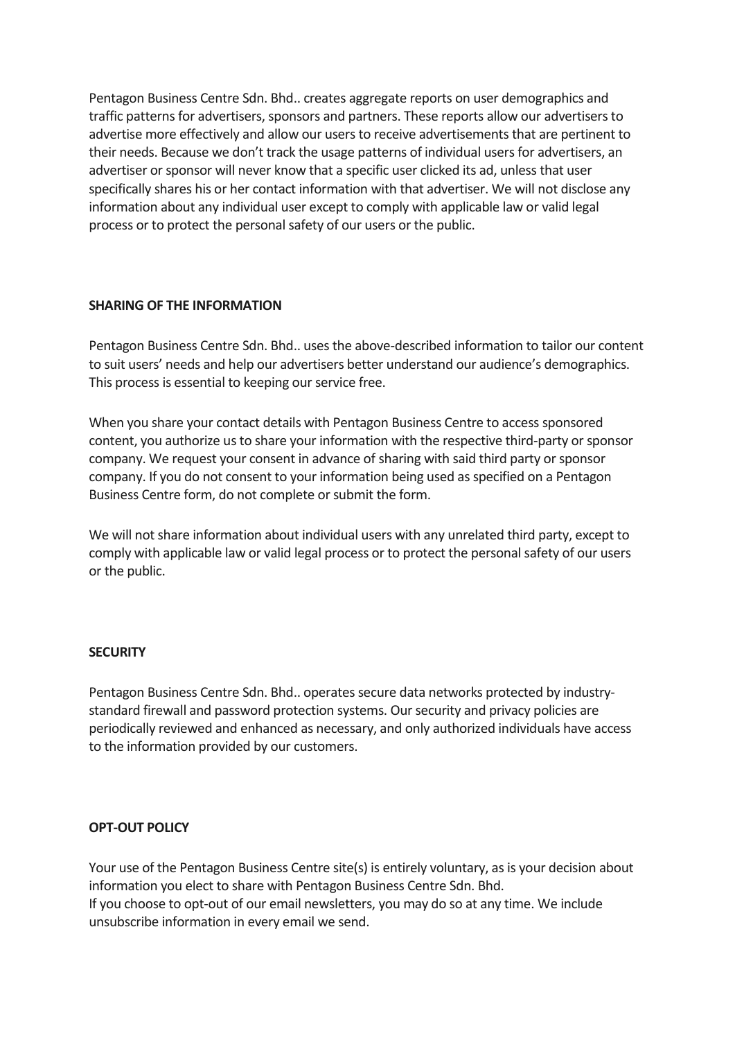Pentagon Business Centre Sdn. Bhd.. creates aggregate reports on user demographics and traffic patterns for advertisers, sponsors and partners. These reports allow our advertisers to advertise more effectively and allow our users to receive advertisements that are pertinent to their needs. Because we don't track the usage patterns of individual users for advertisers, an advertiser or sponsor will never know that a specific user clicked its ad, unless that user specifically shares his or her contact information with that advertiser. We will not disclose any information about any individual user except to comply with applicable law or valid legal process or to protect the personal safety of our users or the public.

### **SHARING OF THE INFORMATION**

Pentagon Business Centre Sdn. Bhd.. uses the above-described information to tailor our content to suit users' needs and help our advertisers better understand our audience's demographics. This process is essential to keeping our service free.

When you share your contact details with Pentagon Business Centre to access sponsored content, you authorize us to share your information with the respective third-party or sponsor company. We request your consent in advance of sharing with said third party or sponsor company. If you do not consent to your information being used as specified on a Pentagon Business Centre form, do not complete or submit the form.

We will not share information about individual users with any unrelated third party, except to comply with applicable law or valid legal process or to protect the personal safety of our users or the public.

#### **SECURITY**

Pentagon Business Centre Sdn. Bhd.. operates secure data networks protected by industrystandard firewall and password protection systems. Our security and privacy policies are periodically reviewed and enhanced as necessary, and only authorized individuals have access to the information provided by our customers.

### **OPT-OUT POLICY**

Your use of the Pentagon Business Centre site(s) is entirely voluntary, as is your decision about information you elect to share with Pentagon Business Centre Sdn. Bhd. If you choose to opt-out of our email newsletters, you may do so at any time. We include unsubscribe information in every email we send.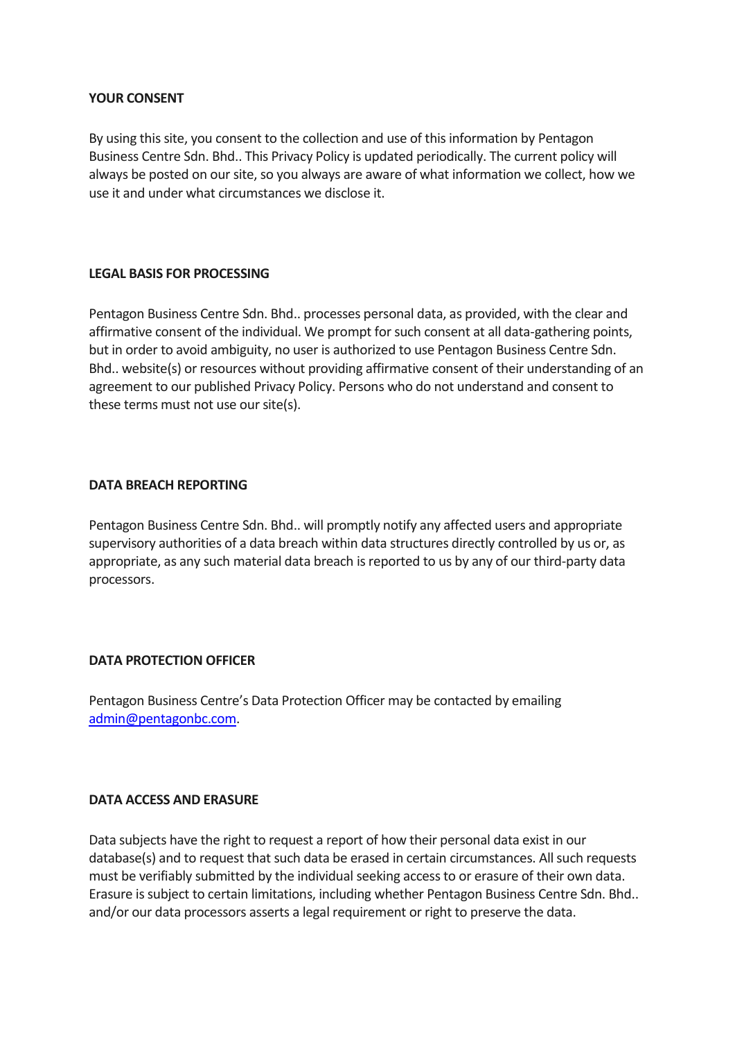### **YOUR CONSENT**

By using this site, you consent to the collection and use of this information by Pentagon Business Centre Sdn. Bhd.. This Privacy Policy is updated periodically. The current policy will always be posted on our site, so you always are aware of what information we collect, how we use it and under what circumstances we disclose it.

### **LEGAL BASIS FOR PROCESSING**

Pentagon Business Centre Sdn. Bhd.. processes personal data, as provided, with the clear and affirmative consent of the individual. We prompt for such consent at all data-gathering points, but in order to avoid ambiguity, no user is authorized to use Pentagon Business Centre Sdn. Bhd.. website(s) or resources without providing affirmative consent of their understanding of an agreement to our published [Privacy](https://trainingindustry.com/privacy/) Policy. Persons who do not understand and consent to these terms must not use our site(s).

### **DATA BREACH REPORTING**

Pentagon Business Centre Sdn. Bhd.. will promptly notify any affected users and appropriate supervisory authorities of a data breach within data structures directly controlled by us or, as appropriate, as any such material data breach is reported to us by any of our third-party data processors.

### **DATA PROTECTION OFFICER**

Pentagon Business Centre's Data Protection Officer may be contacted by emailing [admin@pentagonbc.com.](mailto:admin@pentagonbc.com)

#### **DATA ACCESS AND ERASURE**

Data subjects have the right to request a report of how their personal data exist in our database(s) and to request that such data be erased in certain circumstances. All such requests must be verifiably submitted by the individual seeking access to or erasure of their own data. Erasure is subject to certain limitations, including whether Pentagon Business Centre Sdn. Bhd.. and/or our data processors asserts a legal requirement or right to preserve the data.